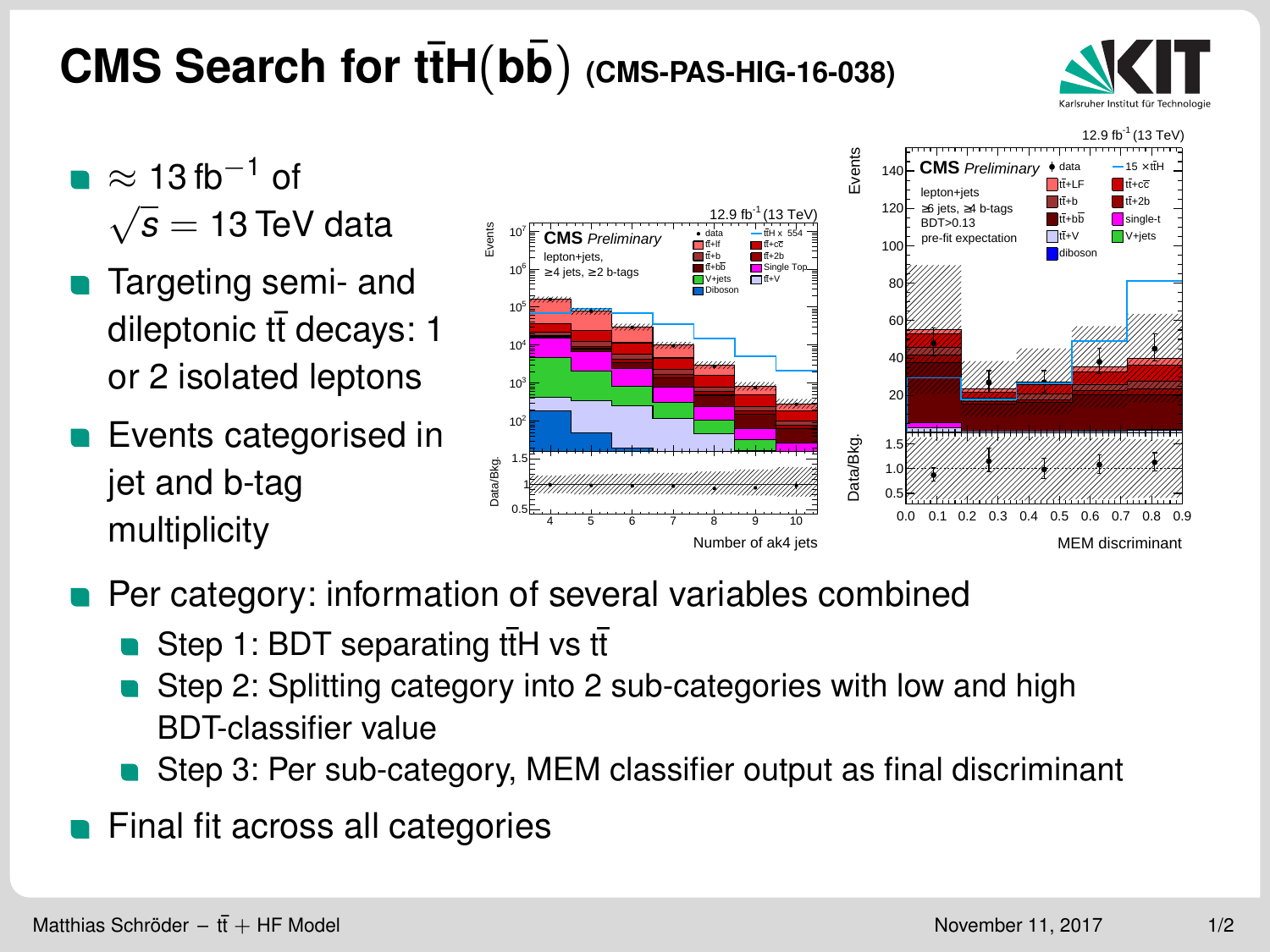## <span id="page-0-0"></span>**CMS Search for ttH**( $b\overline{b}$ ) (CMS-PAS-HIG-16-038)



- $\approx 13$  fb<sup>-1</sup> of  $\widetilde{\phantom{a}}$ *s* = 13 TeV data
- **Targeting semi- and** dileptonic  $t\bar{t}$  decays: 1 or 2 isolated leptons
- **Exents categorised in** jet and b-tag multiplicity



- Per category: information of several variables combined
	- Step 1: BDT separating ttH vs tt
	- Step 2: Splitting category into 2 sub-categories with low and high BDT-classifier value
	- Step 3: Per sub-category, MEM classifier output as final discriminant
- Final fit across all categories